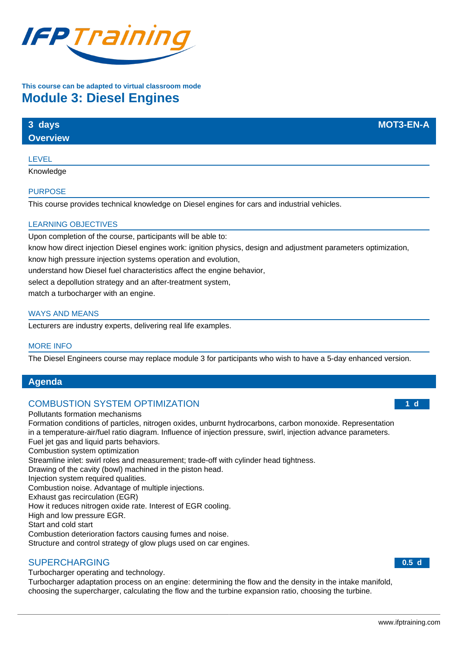

# **This course can be adapted to virtual classroom mode Module 3: Diesel Engines**

| 3 days          | <b>MOT3-EN-A</b> |
|-----------------|------------------|
| <b>Overview</b> |                  |
|                 |                  |

### LEVEL

Knowledge

### PURPOSE

This course provides technical knowledge on Diesel engines for cars and industrial vehicles.

## LEARNING OBJECTIVES

Upon completion of the course, participants will be able to:

know how direct injection Diesel engines work: ignition physics, design and adjustment parameters optimization,

know high pressure injection systems operation and evolution,

understand how Diesel fuel characteristics affect the engine behavior,

select a depollution strategy and an after-treatment system,

match a turbocharger with an engine.

### WAYS AND MEANS

Lecturers are industry experts, delivering real life examples.

### MORE INFO

The Diesel Engineers course may replace module 3 for participants who wish to have a 5-day enhanced version.

## **Agenda**

## COMBUSTION SYSTEM OPTIMIZATION

#### Pollutants formation mechanisms

Formation conditions of particles, nitrogen oxides, unburnt hydrocarbons, carbon monoxide. Representation in a temperature-air/fuel ratio diagram. Influence of injection pressure, swirl, injection advance parameters. Fuel jet gas and liquid parts behaviors. Combustion system optimization Streamline inlet: swirl roles and measurement; trade-off with cylinder head tightness. Drawing of the cavity (bowl) machined in the piston head. Injection system required qualities. Combustion noise. Advantage of multiple injections. Exhaust gas recirculation (EGR) How it reduces nitrogen oxide rate. Interest of EGR cooling. High and low pressure EGR. Start and cold start Combustion deterioration factors causing fumes and noise.

Structure and control strategy of glow plugs used on car engines.

## SUPERCHARGING

Turbocharger operating and technology.

Turbocharger adaptation process on an engine: determining the flow and the density in the intake manifold, choosing the supercharger, calculating the flow and the turbine expansion ratio, choosing the turbine.

#### **1 d**